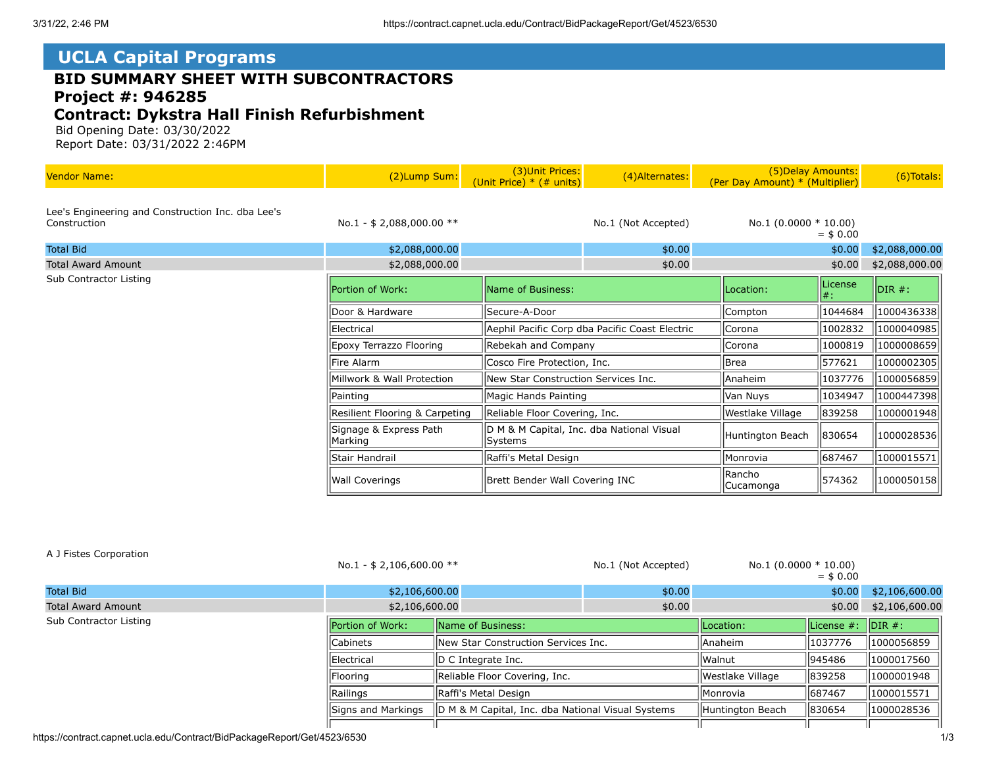# **UCLA Capital Programs**

## **BID SUMMARY SHEET WITH SUBCONTRACTORS Project #: 946285**

### **Contract: Dykstra Hall Finish Refurbishment**

 Bid Opening Date: 03/30/2022 Report Date: 03/31/2022 2:46PM

| <b>Vendor Name:</b>                                               | (2)Lump Sum:                      | (3) Unit Prices:<br>(Unit Price) $*$ (# units)       | (4) Alternates:                                | (5) Delay Amounts:<br>(Per Day Amount) * (Multiplier) |                   | (6) Totals:    |
|-------------------------------------------------------------------|-----------------------------------|------------------------------------------------------|------------------------------------------------|-------------------------------------------------------|-------------------|----------------|
| Lee's Engineering and Construction Inc. dba Lee's<br>Construction | No.1 - $$2,088,000.00$ **         |                                                      | No.1 (Not Accepted)                            | No.1 $(0.0000 * 10.00)$                               | $=$ \$ 0.00       |                |
| <b>Total Bid</b>                                                  | \$2,088,000.00                    |                                                      | \$0.00                                         |                                                       | \$0.00            | \$2,088,000.00 |
| <b>Total Award Amount</b>                                         | \$2,088,000.00                    |                                                      | \$0.00                                         |                                                       | \$0.00            | \$2,088,000.00 |
| Sub Contractor Listing                                            | Portion of Work:                  | Name of Business:                                    |                                                | Location:                                             | License<br>$ #$ : | $DIR#$ :       |
|                                                                   | Door & Hardware                   | Secure-A-Door                                        |                                                | Compton                                               | 1044684           | 1000436338     |
|                                                                   | Electrical                        |                                                      | Aephil Pacific Corp dba Pacific Coast Electric | <b>Corona</b>                                         | 1002832           | 1000040985     |
|                                                                   | Epoxy Terrazzo Flooring           | Rebekah and Company                                  |                                                | Corona                                                | 1000819           | 1000008659     |
|                                                                   | Fire Alarm                        | Cosco Fire Protection, Inc.                          |                                                | Brea                                                  | 577621            | 1000002305     |
|                                                                   | Millwork & Wall Protection        | New Star Construction Services Inc.                  |                                                | lAnaheim                                              | 1037776           | 1000056859     |
|                                                                   | Painting                          | Magic Hands Painting                                 |                                                | Van Nuys                                              | 1034947           | 1000447398     |
|                                                                   | Resilient Flooring & Carpeting    | Reliable Floor Covering, Inc.                        |                                                | Westlake Village                                      | 839258            | 1000001948     |
|                                                                   | Signage & Express Path<br>Marking | D M & M Capital, Inc. dba National Visual<br>Systems |                                                | Huntington Beach                                      | 830654            | 1000028536     |
|                                                                   | Stair Handrail                    | Raffi's Metal Design                                 |                                                | <i>Monrovia</i>                                       | 687467            | 1000015571     |
|                                                                   | <b>Wall Coverings</b>             | Brett Bender Wall Covering INC                       |                                                | Rancho<br> Cucamonga                                  | 574362            | 1000050158     |

#### A J Fistes Corporation

|                           | No.1 - \$ 2,106,600.00 $**$ |                                                   | No.1 (Not Accepted) | $No.1 (0.0000 * 10.00)$ | $=$ \$ 0.00                |                    |
|---------------------------|-----------------------------|---------------------------------------------------|---------------------|-------------------------|----------------------------|--------------------|
| <b>Total Bid</b>          | \$2,106,600.00              |                                                   | \$0.00              | \$0.00                  |                            | \$2,106,600.00     |
| <b>Total Award Amount</b> | \$2,106,600.00              |                                                   | \$0.00              | \$0.00                  |                            | \$2,106,600.00     |
| Sub Contractor Listing    | Portion of Work:            | Name of Business:                                 |                     | Location:               | $\parallel$ License $\#$ : | $\parallel$ DIR #: |
|                           | <b>Cabinets</b>             | New Star Construction Services Inc.               |                     | Anaheim                 | 1037776                    | 1000056859         |
| <b>IElectrical</b>        |                             | D C Integrate Inc.                                |                     | <b>Walnut</b>           | 1945486                    | 1000017560         |
|                           | Flooring                    | Reliable Floor Covering, Inc.                     |                     | Westlake Village        | 839258                     | 1000001948         |
|                           | Railings                    | Raffi's Metal Design                              |                     | <i><b>IMonrovia</b></i> | 1687467                    | 1000015571         |
|                           | Signs and Markings          | D M & M Capital, Inc. dba National Visual Systems |                     | Huntington Beach        | 830654                     | 1000028536         |
|                           |                             |                                                   |                     |                         |                            |                    |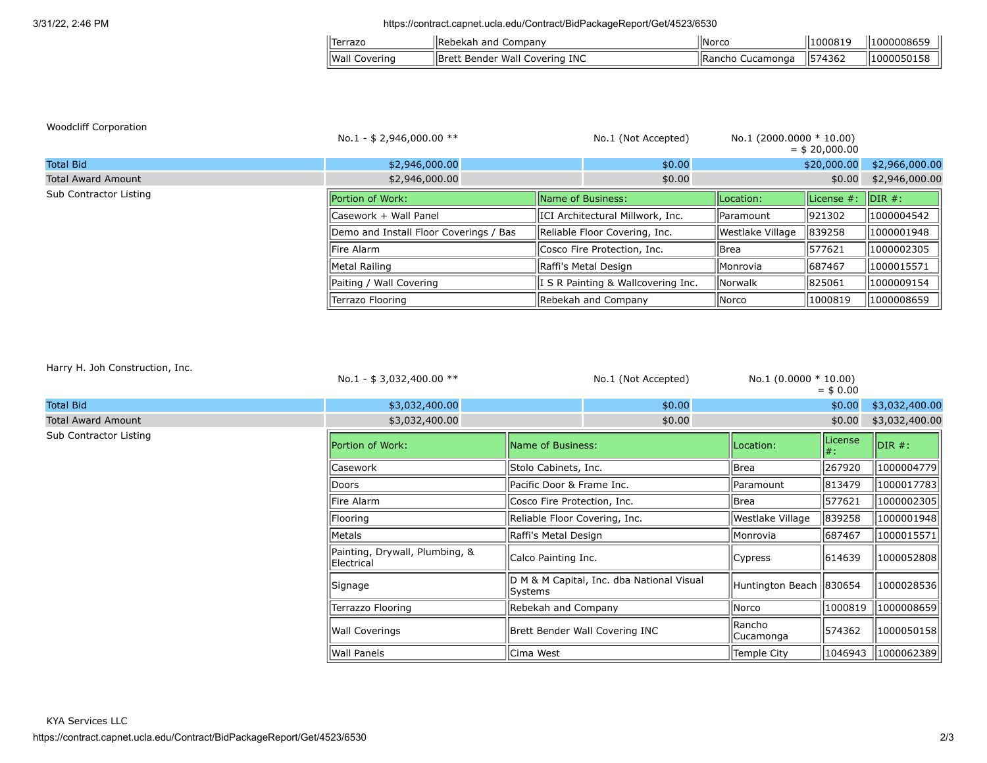### 3/31/22, 2:46 PM https://contract.capnet.ucla.edu/Contract/BidPackageReport/Get/4523/6530

| Terrazc            | lRe<br>and<br>-----<br>Company<br>≏ר                                       | 'lNorcc   | .000819 | $\cdots$<br>100000865       |
|--------------------|----------------------------------------------------------------------------|-----------|---------|-----------------------------|
| llWall<br>Covering | $\overline{\phantom{a}}$<br>INC<br>Wall<br>Covering '<br>IBret<br>. Bender | Cucamonga | 1574362 | $\cdots$<br>1000<br>. יוליי |

| <b>Woodcliff Corporation</b> | No.1 - $$2,946,000.00$ **              |                                   | No.1 (Not Accepted)                | No.1 $(2000.0000 * 10.00)$ | $=$ \$ 20,000.00 |                    |
|------------------------------|----------------------------------------|-----------------------------------|------------------------------------|----------------------------|------------------|--------------------|
| <b>Total Bid</b>             | \$2,946,000.00                         |                                   | \$0.00                             |                            | \$20,000.00      | \$2,966,000.00     |
| <b>Total Award Amount</b>    | \$2,946,000.00                         |                                   | \$0.00                             |                            | \$0.00           | \$2,946,000.00     |
| Sub Contractor Listing       | Portion of Work:                       | Name of Business:                 |                                    | ILocation:                 | License #:       | $\mathsf{IDIR}$ #: |
|                              | lCasework + Wall Panel                 | IICI Architectural Millwork, Inc. |                                    | llParamount                | 921302           | 1000004542         |
|                              | Demo and Install Floor Coverings / Bas |                                   | Reliable Floor Covering, Inc.      | Westlake Village           | 839258           | 1000001948         |
|                              | <b>IFire Alarm</b>                     |                                   | Cosco Fire Protection, Inc.        | llBrea                     | 1577621          | 1000002305         |
|                              | Metal Railing                          |                                   | Raffi's Metal Design               | llMonrovia                 | 1687467          | 1000015571         |
|                              | Paiting / Wall Covering                |                                   | I S R Painting & Wallcovering Inc. | lNorwalk                   | 825061           | 1000009154         |
|                              | Terrazo Flooring                       |                                   | Rebekah and Company                | llNorco                    | 1000819          | 1000008659         |

Harry H. Joh Construction, Inc.

|                           | No.1 - \$ 3,032,400.00 $**$                  |                                | No.1 (Not Accepted)                       | No.1 $(0.0000 * 10.00)$   | $=$ \$ 0.00    |                |
|---------------------------|----------------------------------------------|--------------------------------|-------------------------------------------|---------------------------|----------------|----------------|
| <b>Total Bid</b>          | \$3,032,400.00                               |                                | \$0.00                                    |                           | \$0.00         | \$3,032,400.00 |
| <b>Total Award Amount</b> | \$3,032,400.00                               |                                | \$0.00                                    |                           | \$0.00         | \$3,032,400.00 |
| Sub Contractor Listing    | Portion of Work:                             | Name of Business:              |                                           | Location:                 | License<br> #: | $DIR#$ :       |
|                           | lCasework                                    | Stolo Cabinets, Inc.           |                                           | <b>Brea</b>               | 267920         | 1000004779     |
|                           | Doors                                        | Pacific Door & Frame Inc.      |                                           | Paramount                 | 813479         | 1000017783     |
|                           | Fire Alarm                                   | Cosco Fire Protection, Inc.    |                                           | Brea                      | 577621         | 1000002305     |
|                           | Flooring                                     | Reliable Floor Covering, Inc.  |                                           | Westlake Village          | 839258         | 1000001948     |
|                           | Metals                                       | Raffi's Metal Design           |                                           | Monrovia                  | 687467         | 1000015571     |
|                           | Painting, Drywall, Plumbing, &<br>Electrical | Calco Painting Inc.            |                                           | Cypress                   | 614639         | 1000052808     |
|                           | Signage                                      | Systems                        | D M & M Capital, Inc. dba National Visual | Huntington Beach   830654 |                | 1000028536     |
|                           | Terrazzo Flooring                            | Rebekah and Company            |                                           | Norco                     | 1000819        | 1000008659     |
|                           | Wall Coverings                               | Brett Bender Wall Covering INC |                                           | Rancho<br>Cucamonga       | 574362         | 1000050158     |
|                           | Wall Panels                                  | Cima West                      |                                           | <b>Temple City</b>        | 1046943        | 1000062389     |